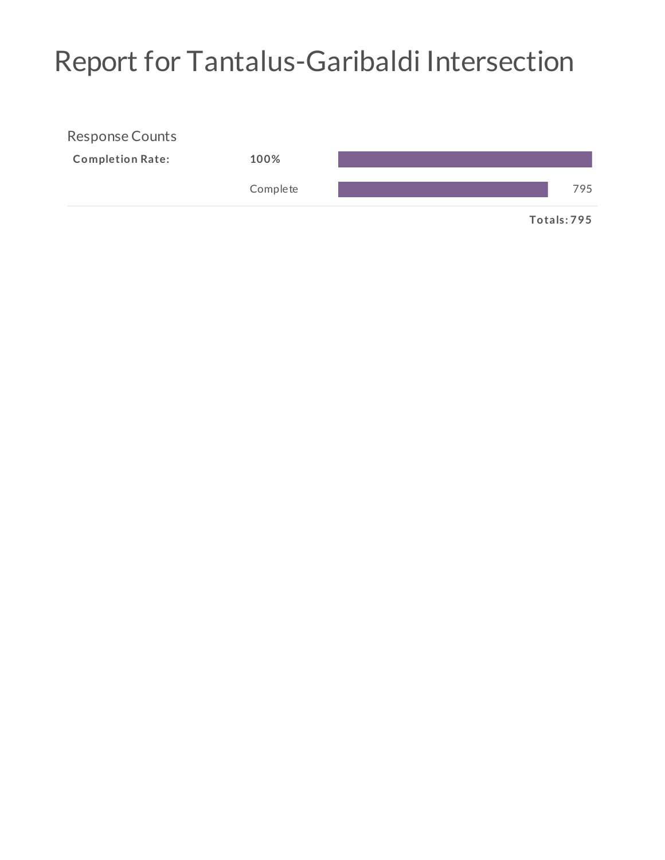## Report for Tantalus-Garibaldi Intersection

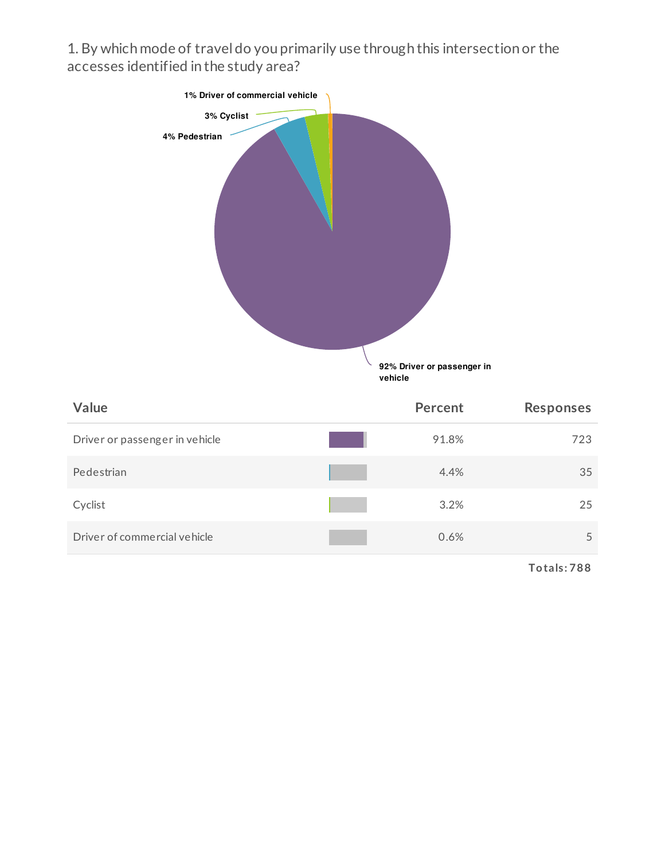1. By which mode of travel do you primarily use through this intersection or the accesses identified in the study area?



| <b>Value</b>                   | Percent | <b>Responses</b> |
|--------------------------------|---------|------------------|
| Driver or passenger in vehicle | 91.8%   | 723              |
| Pedestrian                     | 4.4%    | 35               |
| Cyclist                        | 3.2%    | 25               |
| Driver of commercial vehicle   | 0.6%    | 5                |

**Totals: 788**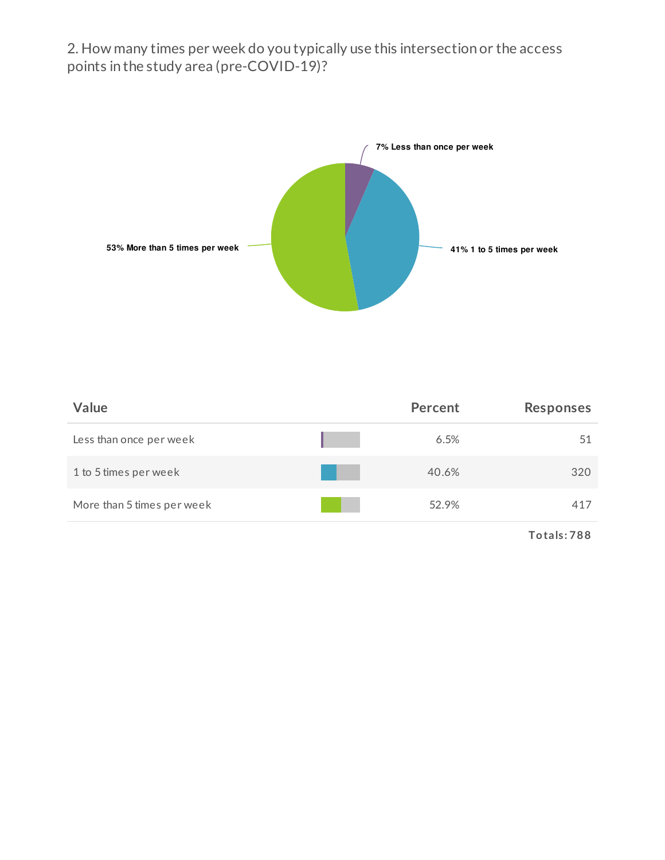2. How many times per week do you typically use this intersection or the access points in the study area (pre-COVID-19)?



| Value                      | Percent | <b>Responses</b> |
|----------------------------|---------|------------------|
| Less than once per week    | 6.5%    | 51               |
| 1 to 5 times per week      | 40.6%   | 320              |
| More than 5 times per week | 52.9%   | 417              |
|                            |         | Totals: 788      |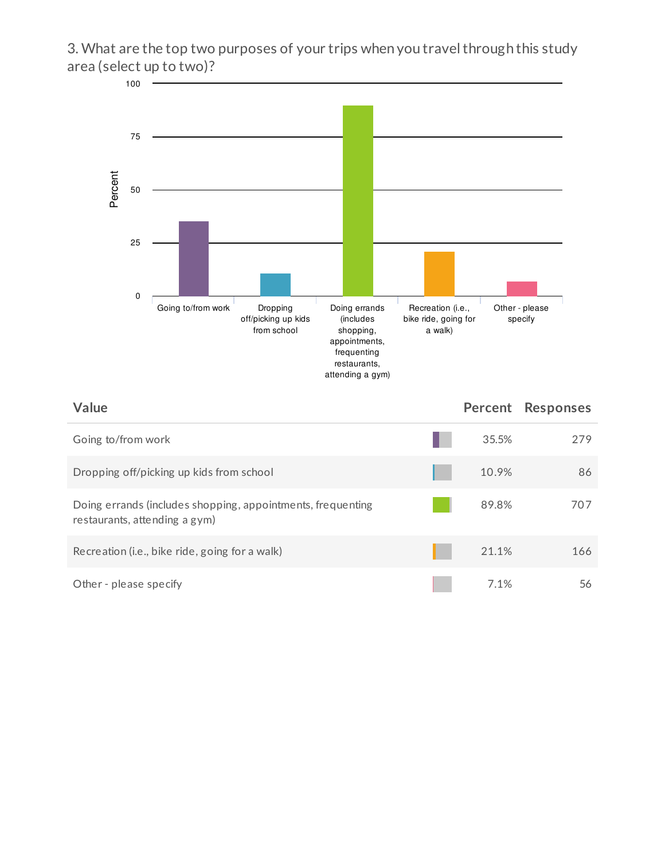3. What are the top two purposes of your trips when you travelthrough this study area (select up to two)?



| Value                                                                                        |       | Percent Responses |
|----------------------------------------------------------------------------------------------|-------|-------------------|
| Going to/from work                                                                           | 35.5% | 279               |
| Dropping off/picking up kids from school                                                     | 10.9% | 86                |
| Doing errands (includes shopping, appointments, frequenting<br>restaurants, attending a gym) | 89.8% | 707               |
| Recreation (i.e., bike ride, going for a walk)                                               | 21.1% | 166               |
| Other - please specify                                                                       | 7.1%  | 56                |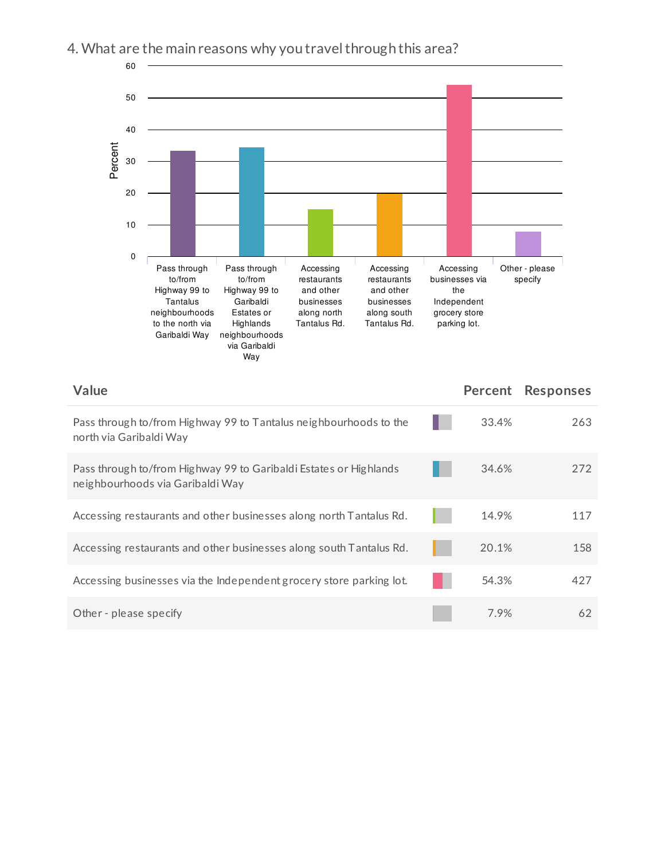## 4. What are the main reasons why you travel through this area?



| Value                                                                                                 | Percent | <b>Responses</b> |
|-------------------------------------------------------------------------------------------------------|---------|------------------|
| Pass through to/from Highway 99 to Tantalus neighbourhoods to the<br>north via Garibaldi Way          | 33.4%   | 263              |
| Pass through to/from Highway 99 to Garibaldi Estates or Highlands<br>neighbourhoods via Garibaldi Way | 34.6%   | 272              |
| Accessing restaurants and other businesses along north Tantalus Rd.                                   | 14.9%   | 117              |
| Accessing restaurants and other businesses along south Tantalus Rd.                                   | 20.1%   | 158              |
| Accessing businesses via the Independent grocery store parking lot.                                   | 54.3%   | 427              |
| Other - please specify                                                                                | 7.9%    | 62               |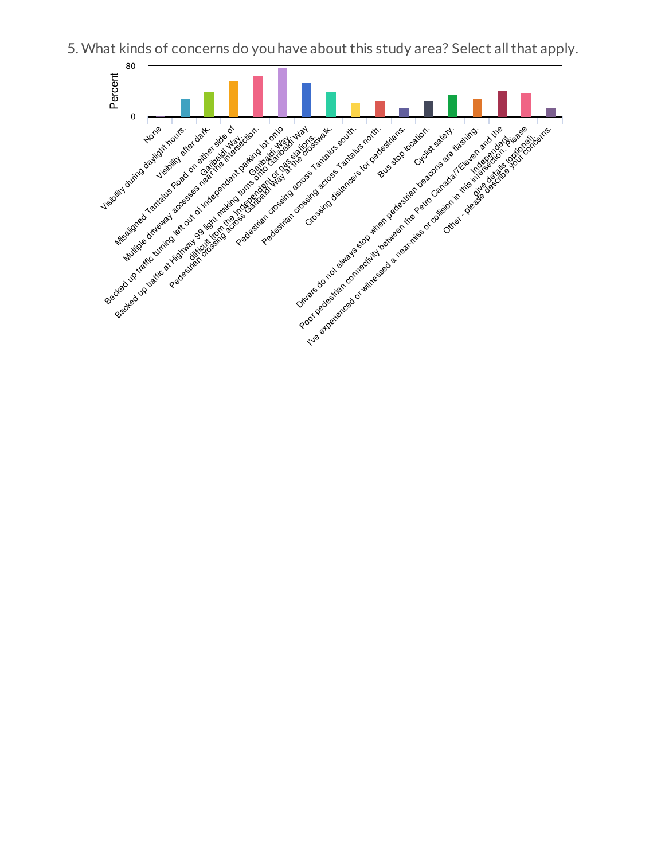

5. What kinds of concerns do you have about this study area? Select allthat apply.